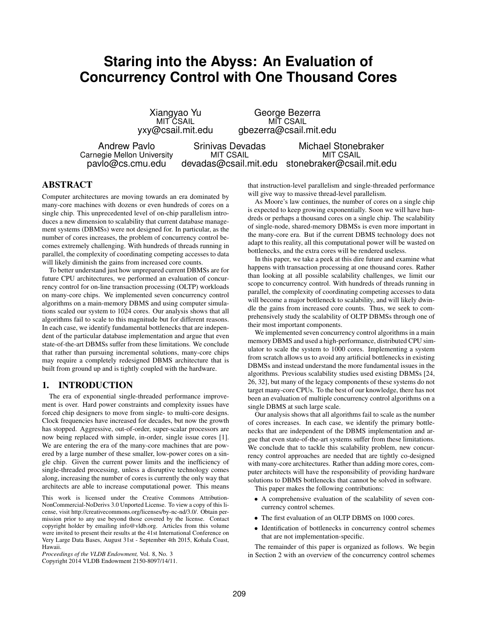# **Staring into the Abyss: An Evaluation of Concurrency Control with One Thousand Cores**

Xiangyao Yu George Bezerra MIT CSAIL [yxy@csail.mit.edu](mailto:yxy@csail.mit.edu) [gbezerra@csail.mit.edu](mailto:gbezerra@csail.mit.edu)

Andrew Pavlo Srinivas Devadas Michael Stonebraker Carnegie Mellon University

[pavlo@cs.cmu.edu](mailto:pavlo@cs.cmu.edu) [devadas@csail.mit.edu](mailto:devadas@csail.mit.edu) [stonebraker@csail.mit.edu](mailto:stonebraker@csail.mit.edu)

# ABSTRACT

Computer architectures are moving towards an era dominated by many-core machines with dozens or even hundreds of cores on a single chip. This unprecedented level of on-chip parallelism introduces a new dimension to scalability that current database management systems (DBMSs) were not designed for. In particular, as the number of cores increases, the problem of concurrency control becomes extremely challenging. With hundreds of threads running in parallel, the complexity of coordinating competing accesses to data will likely diminish the gains from increased core counts.

To better understand just how unprepared current DBMSs are for future CPU architectures, we performed an evaluation of concurrency control for on-line transaction processing (OLTP) workloads on many-core chips. We implemented seven concurrency control algorithms on a main-memory DBMS and using computer simulations scaled our system to 1024 cores. Our analysis shows that all algorithms fail to scale to this magnitude but for different reasons. In each case, we identify fundamental bottlenecks that are independent of the particular database implementation and argue that even state-of-the-art DBMSs suffer from these limitations. We conclude that rather than pursuing incremental solutions, many-core chips may require a completely redesigned DBMS architecture that is built from ground up and is tightly coupled with the hardware.

# 1. INTRODUCTION

The era of exponential single-threaded performance improvement is over. Hard power constraints and complexity issues have forced chip designers to move from single- to multi-core designs. Clock frequencies have increased for decades, but now the growth has stopped. Aggressive, out-of-order, super-scalar processors are now being replaced with simple, in-order, single issue cores [\[1\]](#page-11-0). We are entering the era of the many-core machines that are powered by a large number of these smaller, low-power cores on a single chip. Given the current power limits and the inefficiency of single-threaded processing, unless a disruptive technology comes along, increasing the number of cores is currently the only way that architects are able to increase computational power. This means

This work is licensed under the Creative Commons Attribution-NonCommercial-NoDerivs 3.0 Unported License. To view a copy of this license, visit http://creativecommons.org/licenses/by-nc-nd/3.0/. Obtain permission prior to any use beyond those covered by the license. Contact copyright holder by emailing info@vldb.org. Articles from this volume were invited to present their results at the 41st International Conference on Very Large Data Bases, August 31st - September 4th 2015, Kohala Coast, Hawaii.

*Proceedings of the VLDB Endowment,* Vol. 8, No. 3

Copyright 2014 VLDB Endowment 2150-8097/14/11.

that instruction-level parallelism and single-threaded performance will give way to massive thread-level parallelism.

As Moore's law continues, the number of cores on a single chip is expected to keep growing exponentially. Soon we will have hundreds or perhaps a thousand cores on a single chip. The scalability of single-node, shared-memory DBMSs is even more important in the many-core era. But if the current DBMS technology does not adapt to this reality, all this computational power will be wasted on bottlenecks, and the extra cores will be rendered useless.

In this paper, we take a peek at this dire future and examine what happens with transaction processing at one thousand cores. Rather than looking at all possible scalability challenges, we limit our scope to concurrency control. With hundreds of threads running in parallel, the complexity of coordinating competing accesses to data will become a major bottleneck to scalability, and will likely dwindle the gains from increased core counts. Thus, we seek to comprehensively study the scalability of OLTP DBMSs through one of their most important components.

We implemented seven concurrency control algorithms in a main memory DBMS and used a high-performance, distributed CPU simulator to scale the system to 1000 cores. Implementing a system from scratch allows us to avoid any artificial bottlenecks in existing DBMSs and instead understand the more fundamental issues in the algorithms. Previous scalability studies used existing DBMSs [\[24,](#page-11-1) [26,](#page-11-2) [32\]](#page-11-3), but many of the legacy components of these systems do not target many-core CPUs. To the best of our knowledge, there has not been an evaluation of multiple concurrency control algorithms on a single DBMS at such large scale.

Our analysis shows that all algorithms fail to scale as the number of cores increases. In each case, we identify the primary bottlenecks that are independent of the DBMS implementation and argue that even state-of-the-art systems suffer from these limitations. We conclude that to tackle this scalability problem, new concurrency control approaches are needed that are tightly co-designed with many-core architectures. Rather than adding more cores, computer architects will have the responsibility of providing hardware solutions to DBMS bottlenecks that cannot be solved in software.

This paper makes the following contributions:

- A comprehensive evaluation of the scalability of seven concurrency control schemes.
- The first evaluation of an OLTP DBMS on 1000 cores.
- Identification of bottlenecks in concurrency control schemes that are not implementation-specific.

The remainder of this paper is organized as follows. We begin in Section [2](#page-1-0) with an overview of the concurrency control schemes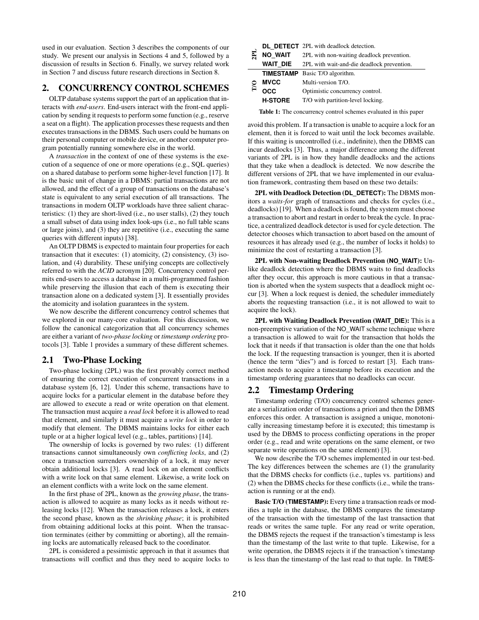used in our evaluation. Section [3](#page-2-0) describes the components of our study. We present our analysis in Sections [4](#page-3-0) and [5,](#page-5-0) followed by a discussion of results in Section [6.](#page-9-0) Finally, we survey related work in Section [7](#page-10-0) and discuss future research directions in Section [8.](#page-11-4)

# <span id="page-1-0"></span>2. CONCURRENCY CONTROL SCHEMES

OLTP database systems support the part of an application that interacts with *end-users*. End-users interact with the front-end application by sending it requests to perform some function (e.g., reserve a seat on a flight). The application processes these requests and then executes transactions in the DBMS. Such users could be humans on their personal computer or mobile device, or another computer program potentially running somewhere else in the world.

A *transaction* in the context of one of these systems is the execution of a sequence of one or more operations (e.g., SQL queries) on a shared database to perform some higher-level function [\[17\]](#page-11-5). It is the basic unit of change in a DBMS: partial transactions are not allowed, and the effect of a group of transactions on the database's state is equivalent to any serial execution of all transactions. The transactions in modern OLTP workloads have three salient characteristics: (1) they are short-lived (i.e., no user stalls), (2) they touch a small subset of data using index look-ups (i.e., no full table scans or large joins), and (3) they are repetitive (i.e., executing the same queries with different inputs) [\[38\]](#page-11-6).

An OLTP DBMS is expected to maintain four properties for each transaction that it executes: (1) atomicity, (2) consistency, (3) isolation, and (4) durability. These unifying concepts are collectively referred to with the *ACID* acronym [\[20\]](#page-11-7). Concurrency control permits end-users to access a database in a multi-programmed fashion while preserving the illusion that each of them is executing their transaction alone on a dedicated system [\[3\]](#page-11-8). It essentially provides the atomicity and isolation guarantees in the system.

We now describe the different concurrency control schemes that we explored in our many-core evaluation. For this discussion, we follow the canonical categorization that all concurrency schemes are either a variant of *two-phase locking* or *timestamp ordering* protocols [\[3\]](#page-11-8). Table [1](#page-1-1) provides a summary of these different schemes.

## 2.1 Two-Phase Locking

Two-phase locking (2PL) was the first provably correct method of ensuring the correct execution of concurrent transactions in a database system [\[6,](#page-11-9) [12\]](#page-11-10). Under this scheme, transactions have to acquire locks for a particular element in the database before they are allowed to execute a read or write operation on that element. The transaction must acquire a *read lock* before it is allowed to read that element, and similarly it must acquire a *write lock* in order to modify that element. The DBMS maintains locks for either each tuple or at a higher logical level (e.g., tables, partitions) [\[14\]](#page-11-11).

The ownership of locks is governed by two rules: (1) different transactions cannot simultaneously own *conflicting locks*, and (2) once a transaction surrenders ownership of a lock, it may never obtain additional locks [\[3\]](#page-11-8). A read lock on an element conflicts with a write lock on that same element. Likewise, a write lock on an element conflicts with a write lock on the same element.

In the first phase of 2PL, known as the *growing phase*, the transaction is allowed to acquire as many locks as it needs without releasing locks [\[12\]](#page-11-10). When the transaction releases a lock, it enters the second phase, known as the *shrinking phase*; it is prohibited from obtaining additional locks at this point. When the transaction terminates (either by committing or aborting), all the remaining locks are automatically released back to the coordinator.

2PL is considered a pessimistic approach in that it assumes that transactions will conflict and thus they need to acquire locks to

<span id="page-1-1"></span>

|  |                | <b>DL DETECT</b> 2PL with deadlock detection.              |
|--|----------------|------------------------------------------------------------|
|  | NO_WAIT        | 2PL with non-waiting deadlock prevention.                  |
|  |                | <b>WAIT DIE</b> 2PL with wait-and-die deadlock prevention. |
|  |                | <b>TIMESTAMP</b> Basic T/O algorithm.                      |
|  | <b>MVCC</b>    | Multi-version T/O.                                         |
|  | occ            | Optimistic concurrency control.                            |
|  | <b>H-STORE</b> | T/O with partition-level locking.                          |
|  |                |                                                            |

Table 1: The concurrency control schemes evaluated in this paper

avoid this problem. If a transaction is unable to acquire a lock for an element, then it is forced to wait until the lock becomes available. If this waiting is uncontrolled (i.e., indefinite), then the DBMS can incur deadlocks [\[3\]](#page-11-8). Thus, a major difference among the different variants of 2PL is in how they handle deadlocks and the actions that they take when a deadlock is detected. We now describe the different versions of 2PL that we have implemented in our evaluation framework, contrasting them based on these two details:

2PL with Deadlock Detection (**DL\_DETECT**): The DBMS monitors a *waits-for* graph of transactions and checks for cycles (i.e., deadlocks) [\[19\]](#page-11-12). When a deadlock is found, the system must choose a transaction to abort and restart in order to break the cycle. In practice, a centralized deadlock detector is used for cycle detection. The detector chooses which transaction to abort based on the amount of resources it has already used (e.g., the number of locks it holds) to minimize the cost of restarting a transaction [\[3\]](#page-11-8).

2PL with Non-waiting Deadlock Prevention (**NO\_WAIT**): Unlike deadlock detection where the DBMS waits to find deadlocks after they occur, this approach is more cautious in that a transaction is aborted when the system suspects that a deadlock might occur [\[3\]](#page-11-8). When a lock request is denied, the scheduler immediately aborts the requesting transaction (i.e., it is not allowed to wait to acquire the lock).

2PL with Waiting Deadlock Prevention (**WAIT\_DIE**): This is a non-preemptive variation of the NO\_WAIT scheme technique where a transaction is allowed to wait for the transaction that holds the lock that it needs if that transaction is older than the one that holds the lock. If the requesting transaction is younger, then it is aborted (hence the term "dies") and is forced to restart [\[3\]](#page-11-8). Each transaction needs to acquire a timestamp before its execution and the timestamp ordering guarantees that no deadlocks can occur.

# 2.2 Timestamp Ordering

Timestamp ordering (T/O) concurrency control schemes generate a serialization order of transactions a priori and then the DBMS enforces this order. A transaction is assigned a unique, monotonically increasing timestamp before it is executed; this timestamp is used by the DBMS to process conflicting operations in the proper order (e.g., read and write operations on the same element, or two separate write operations on the same element) [\[3\]](#page-11-8).

We now describe the T/O schemes implemented in our test-bed. The key differences between the schemes are (1) the granularity that the DBMS checks for conflicts (i.e., tuples vs. partitions) and (2) when the DBMS checks for these conflicts (i.e., while the transaction is running or at the end).

Basic T/O (TIMESTAMP): Every time a transaction reads or modifies a tuple in the database, the DBMS compares the timestamp of the transaction with the timestamp of the last transaction that reads or writes the same tuple. For any read or write operation, the DBMS rejects the request if the transaction's timestamp is less than the timestamp of the last write to that tuple. Likewise, for a write operation, the DBMS rejects it if the transaction's timestamp is less than the timestamp of the last read to that tuple. In TIMES-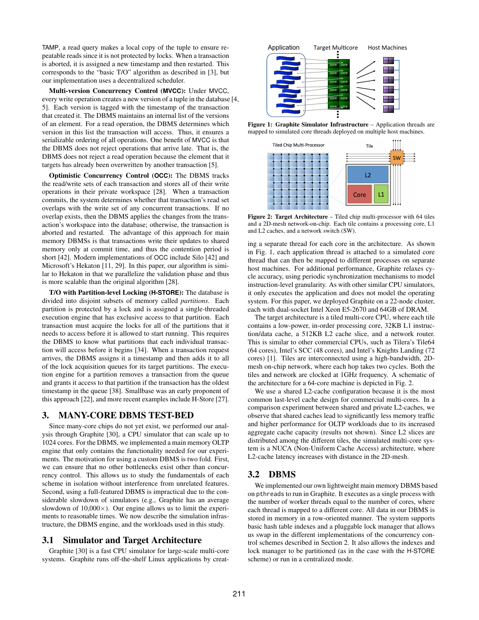TAMP, a read query makes a local copy of the tuple to ensure repeatable reads since it is not protected by locks. When a transaction is aborted, it is assigned a new timestamp and then restarted. This corresponds to the "basic T/O" algorithm as described in [\[3\]](#page-11-8), but our implementation uses a decentralized scheduler.

Multi-version Concurrency Control (**MVCC**): Under MVCC, every write operation creates a new version of a tuple in the database [\[4,](#page-11-13) [5\]](#page-11-14). Each version is tagged with the timestamp of the transaction that created it. The DBMS maintains an internal list of the versions of an element. For a read operation, the DBMS determines which version in this list the transaction will access. Thus, it ensures a serializable ordering of all operations. One benefit of MVCC is that the DBMS does not reject operations that arrive late. That is, the DBMS does not reject a read operation because the element that it targets has already been overwritten by another transaction [\[5\]](#page-11-14).

Optimistic Concurrency Control (**OCC**): The DBMS tracks the read/write sets of each transaction and stores all of their write operations in their private workspace [\[28\]](#page-11-15). When a transaction commits, the system determines whether that transaction's read set overlaps with the write set of any concurrent transactions. If no overlap exists, then the DBMS applies the changes from the transaction's workspace into the database; otherwise, the transaction is aborted and restarted. The advantage of this approach for main memory DBMSs is that transactions write their updates to shared memory only at commit time, and thus the contention period is short [\[42\]](#page-11-16). Modern implementations of OCC include Silo [\[42\]](#page-11-16) and Microsoft's Hekaton [\[11,](#page-11-17) [29\]](#page-11-18). In this paper, our algorithm is similar to Hekaton in that we parallelize the validation phase and thus is more scalable than the original algorithm [\[28\]](#page-11-15).

T/O with Partition-level Locking (**H-STORE**): The database is divided into disjoint subsets of memory called *partitions*. Each partition is protected by a lock and is assigned a single-threaded execution engine that has exclusive access to that partition. Each transaction must acquire the locks for all of the partitions that it needs to access before it is allowed to start running. This requires the DBMS to know what partitions that each individual transaction will access before it begins [\[34\]](#page-11-19). When a transaction request arrives, the DBMS assigns it a timestamp and then adds it to all of the lock acquisition queues for its target partitions. The execution engine for a partition removes a transaction from the queue and grants it access to that partition if the transaction has the oldest timestamp in the queue [\[38\]](#page-11-6). Smallbase was an early proponent of this approach [\[22\]](#page-11-20), and more recent examples include H-Store [\[27\]](#page-11-21).

# <span id="page-2-0"></span>3. MANY-CORE DBMS TEST-BED

Since many-core chips do not yet exist, we performed our analysis through Graphite [\[30\]](#page-11-22), a CPU simulator that can scale up to 1024 cores. For the DBMS, we implemented a main memory OLTP engine that only contains the functionality needed for our experiments. The motivation for using a custom DBMS is two fold. First, we can ensure that no other bottlenecks exist other than concurrency control. This allows us to study the fundamentals of each scheme in isolation without interference from unrelated features. Second, using a full-featured DBMS is impractical due to the considerable slowdown of simulators (e.g., Graphite has an average slowdown of  $10,000 \times$ ). Our engine allows us to limit the experiments to reasonable times. We now describe the simulation infrastructure, the DBMS engine, and the workloads used in this study.

## 3.1 Simulator and Target Architecture

Graphite [\[30\]](#page-11-22) is a fast CPU simulator for large-scale multi-core systems. Graphite runs off-the-shelf Linux applications by creat-

<span id="page-2-1"></span>

Figure 1: Graphite Simulator Infrastructure – Application threads are mapped to simulated core threads deployed on multiple host machines.

<span id="page-2-2"></span>

Figure 2: Target Architecture – Tiled chip multi-processor with 64 tiles and a 2D-mesh network-on-chip. Each tile contains a processing core, L1 and L2 caches, and a network switch (SW).

ing a separate thread for each core in the architecture. As shown in Fig. [1,](#page-2-1) each application thread is attached to a simulated core thread that can then be mapped to different processes on separate host machines. For additional performance, Graphite relaxes cycle accuracy, using periodic synchronization mechanisms to model instruction-level granularity. As with other similar CPU simulators, it only executes the application and does not model the operating system. For this paper, we deployed Graphite on a 22-node cluster, each with dual-socket Intel Xeon E5-2670 and 64GB of DRAM.

The target architecture is a tiled multi-core CPU, where each tile contains a low-power, in-order processing core, 32KB L1 instruction/data cache, a 512KB L2 cache slice, and a network router. This is similar to other commercial CPUs, such as Tilera's Tile64 (64 cores), Intel's SCC (48 cores), and Intel's Knights Landing (72 cores) [\[1\]](#page-11-0). Tiles are interconnected using a high-bandwidth, 2Dmesh on-chip network, where each hop takes two cycles. Both the tiles and network are clocked at 1GHz frequency. A schematic of the architecture for a 64-core machine is depicted in Fig. [2.](#page-2-2)

We use a shared L2-cache configuration because it is the most common last-level cache design for commercial multi-cores. In a comparison experiment between shared and private L2-caches, we observe that shared caches lead to significantly less memory traffic and higher performance for OLTP workloads due to its increased aggregate cache capacity (results not shown). Since L2 slices are distributed among the different tiles, the simulated multi-core system is a NUCA (Non-Uniform Cache Access) architecture, where L2-cache latency increases with distance in the 2D-mesh.

# <span id="page-2-3"></span>3.2 DBMS

We implemented our own lightweight main memory DBMS based on pthreads to run in Graphite. It executes as a single process with the number of worker threads equal to the number of cores, where each thread is mapped to a different core. All data in our DBMS is stored in memory in a row-oriented manner. The system supports basic hash table indexes and a pluggable lock manager that allows us swap in the different implementations of the concurrency control schemes described in Section [2.](#page-1-0) It also allows the indexes and lock manager to be partitioned (as in the case with the H-STORE scheme) or run in a centralized mode.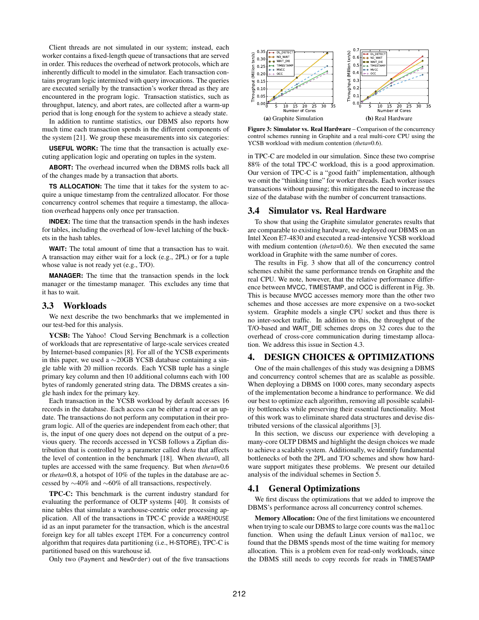Client threads are not simulated in our system; instead, each worker contains a fixed-length queue of transactions that are served in order. This reduces the overhead of network protocols, which are inherently difficult to model in the simulator. Each transaction contains program logic intermixed with query invocations. The queries are executed serially by the transaction's worker thread as they are encountered in the program logic. Transaction statistics, such as throughput, latency, and abort rates, are collected after a warm-up period that is long enough for the system to achieve a steady state.

In addition to runtime statistics, our DBMS also reports how much time each transaction spends in the different components of the system [\[21\]](#page-11-23). We group these measurements into six categories:

**USEFUL WORK**: The time that the transaction is actually executing application logic and operating on tuples in the system.

**ABORT**: The overhead incurred when the DBMS rolls back all of the changes made by a transaction that aborts.

**TS ALLOCATION**: The time that it takes for the system to acquire a unique timestamp from the centralized allocator. For those concurrency control schemes that require a timestamp, the allocation overhead happens only once per transaction.

**INDEX**: The time that the transaction spends in the hash indexes for tables, including the overhead of low-level latching of the buckets in the hash tables.

**WAIT**: The total amount of time that a transaction has to wait. A transaction may either wait for a lock (e.g., 2PL) or for a tuple whose value is not ready yet (e.g., T/O).

**MANAGER**: The time that the transaction spends in the lock manager or the timestamp manager. This excludes any time that it has to wait.

## <span id="page-3-3"></span>3.3 Workloads

We next describe the two benchmarks that we implemented in our test-bed for this analysis.

YCSB: The Yahoo! Cloud Serving Benchmark is a collection of workloads that are representative of large-scale services created by Internet-based companies [\[8\]](#page-11-24). For all of the YCSB experiments in this paper, we used a ∼20GB YCSB database containing a single table with 20 million records. Each YCSB tuple has a single primary key column and then 10 additional columns each with 100 bytes of randomly generated string data. The DBMS creates a single hash index for the primary key.

Each transaction in the YCSB workload by default accesses 16 records in the database. Each access can be either a read or an update. The transactions do not perform any computation in their program logic. All of the queries are independent from each other; that is, the input of one query does not depend on the output of a previous query. The records accessed in YCSB follows a Zipfian distribution that is controlled by a parameter called *theta* that affects the level of contention in the benchmark [\[18\]](#page-11-25). When *theta*=0, all tuples are accessed with the same frequency. But when *theta*=0.6 or *theta*=0.8, a hotspot of 10% of the tuples in the database are accessed by ∼40% and ∼60% of all transactions, respectively.

TPC-C: This benchmark is the current industry standard for evaluating the performance of OLTP systems [\[40\]](#page-11-26). It consists of nine tables that simulate a warehouse-centric order processing application. All of the transactions in TPC-C provide a WAREHOUSE id as an input parameter for the transaction, which is the ancestral foreign key for all tables except ITEM. For a concurrency control algorithm that requires data partitioning (i.e., H-STORE), TPC-C is partitioned based on this warehouse id.

Only two (Payment and NewOrder) out of the five transactions

<span id="page-3-1"></span>

<span id="page-3-2"></span>Figure 3: Simulator vs. Real Hardware – Comparison of the concurrency control schemes running in Graphite and a real multi-core CPU using the YCSB workload with medium contention (*theta*=0.6).

in TPC-C are modeled in our simulation. Since these two comprise 88% of the total TPC-C workload, this is a good approximation. Our version of TPC-C is a "good faith" implementation, although we omit the "thinking time" for worker threads. Each worker issues transactions without pausing; this mitigates the need to increase the size of the database with the number of concurrent transactions.

#### 3.4 Simulator vs. Real Hardware

To show that using the Graphite simulator generates results that are comparable to existing hardware, we deployed our DBMS on an Intel Xeon E7-4830 and executed a read-intensive YCSB workload with medium contention (*theta*=0.6). We then executed the same workload in Graphite with the same number of cores.

The results in Fig. [3](#page-3-1) show that all of the concurrency control schemes exhibit the same performance trends on Graphite and the real CPU. We note, however, that the relative performance difference between MVCC, TIMESTAMP, and OCC is different in Fig. [3b.](#page-3-2) This is because MVCC accesses memory more than the other two schemes and those accesses are more expensive on a two-socket system. Graphite models a single CPU socket and thus there is no inter-socket traffic. In addition to this, the throughput of the T/O-based and WAIT\_DIE schemes drops on 32 cores due to the overhead of cross-core communication during timestamp allocation. We address this issue in Section [4.3.](#page-4-0)

# <span id="page-3-0"></span>4. DESIGN CHOICES & OPTIMIZATIONS

One of the main challenges of this study was designing a DBMS and concurrency control schemes that are as scalable as possible. When deploying a DBMS on 1000 cores, many secondary aspects of the implementation become a hindrance to performance. We did our best to optimize each algorithm, removing all possible scalability bottlenecks while preserving their essential functionality. Most of this work was to eliminate shared data structures and devise distributed versions of the classical algorithms [\[3\]](#page-11-8).

In this section, we discuss our experience with developing a many-core OLTP DBMS and highlight the design choices we made to achieve a scalable system. Additionally, we identify fundamental bottlenecks of both the 2PL and T/O schemes and show how hardware support mitigates these problems. We present our detailed analysis of the individual schemes in Section [5.](#page-5-0)

#### <span id="page-3-4"></span>4.1 General Optimizations

We first discuss the optimizations that we added to improve the DBMS's performance across all concurrency control schemes.

Memory Allocation: One of the first limitations we encountered when trying to scale our DBMS to large core counts was the malloc function. When using the default Linux version of malloc, we found that the DBMS spends most of the time waiting for memory allocation. This is a problem even for read-only workloads, since the DBMS still needs to copy records for reads in TIMESTAMP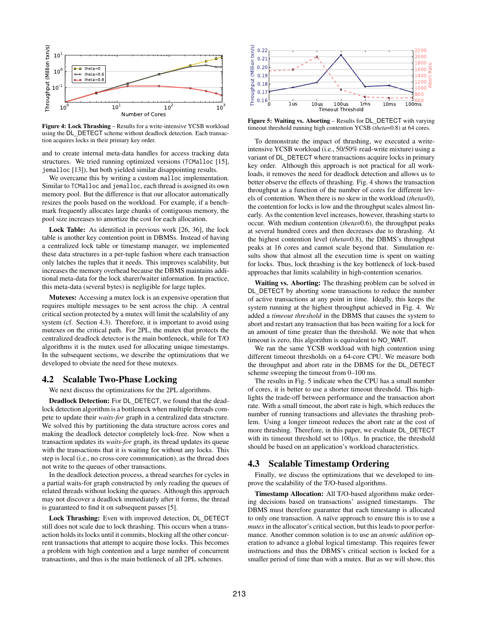<span id="page-4-1"></span>

Figure 4: Lock Thrashing – Results for a write-intensive YCSB workload using the DL\_DETECT scheme without deadlock detection. Each transaction acquires locks in their primary key order.

and to create internal meta-data handles for access tracking data structures. We tried running optimized versions (TCMalloc [\[15\]](#page-11-27), jemalloc [\[13\]](#page-11-28)), but both yielded similar disappointing results.

We overcame this by writing a custom malloc implementation. Similar to TCMalloc and jemalloc, each thread is assigned its own memory pool. But the difference is that our allocator automatically resizes the pools based on the workload. For example, if a benchmark frequently allocates large chunks of contiguous memory, the pool size increases to amortize the cost for each allocation.

Lock Table: As identified in previous work [\[26,](#page-11-2) [36\]](#page-11-29), the lock table is another key contention point in DBMSs. Instead of having a centralized lock table or timestamp manager, we implemented these data structures in a per-tuple fashion where each transaction only latches the tuples that it needs. This improves scalability, but increases the memory overhead because the DBMS maintains additional meta-data for the lock sharer/waiter information. In practice, this meta-data (several bytes) is negligible for large tuples.

Mutexes: Accessing a mutex lock is an expensive operation that requires multiple messages to be sent across the chip. A central critical section protected by a mutex will limit the scalability of any system (cf. Section [4.3\)](#page-4-0). Therefore, it is important to avoid using mutexes on the critical path. For 2PL, the mutex that protects the centralized deadlock detector is the main bottleneck, while for T/O algorithms it is the mutex used for allocating unique timestamps. In the subsequent sections, we describe the optimizations that we developed to obviate the need for these mutexes.

# <span id="page-4-3"></span>4.2 Scalable Two-Phase Locking

We next discuss the optimizations for the 2PL algorithms.

Deadlock Detection: For DL\_DETECT, we found that the deadlock detection algorithm is a bottleneck when multiple threads compete to update their *waits-for* graph in a centralized data structure. We solved this by partitioning the data structure across cores and making the deadlock detector completely lock-free. Now when a transaction updates its *waits-for* graph, its thread updates its queue with the transactions that it is waiting for without any locks. This step is local (i.e., no cross-core communication), as the thread does not write to the queues of other transactions.

In the deadlock detection process, a thread searches for cycles in a partial waits-for graph constructed by only reading the queues of related threads without locking the queues. Although this approach may not discover a deadlock immediately after it forms, the thread is guaranteed to find it on subsequent passes [\[5\]](#page-11-14).

Lock Thrashing: Even with improved detection, DL\_DETECT still does not scale due to lock thrashing. This occurs when a transaction holds its locks until it commits, blocking all the other concurrent transactions that attempt to acquire those locks. This becomes a problem with high contention and a large number of concurrent transactions, and thus is the main bottleneck of all 2PL schemes.

<span id="page-4-2"></span>

Figure 5: Waiting vs. Aborting – Results for DL\_DETECT with varying timeout threshold running high contention YCSB (*theta*=0.8) at 64 cores.

To demonstrate the impact of thrashing, we executed a writeintensive YCSB workload (i.e., 50/50% read-write mixture) using a variant of DL\_DETECT where transactions acquire locks in primary key order. Although this approach is not practical for all workloads, it removes the need for deadlock detection and allows us to better observe the effects of thrashing. Fig. [4](#page-4-1) shows the transaction throughput as a function of the number of cores for different levels of contention. When there is no skew in the workload (*theta*=0), the contention for locks is low and the throughput scales almost linearly. As the contention level increases, however, thrashing starts to occur. With medium contention (*theta*=0.6), the throughput peaks at several hundred cores and then decreases due to thrashing. At the highest contention level (*theta*=0.8), the DBMS's throughput peaks at 16 cores and cannot scale beyond that. Simulation results show that almost all the execution time is spent on waiting for locks. Thus, lock thrashing is the key bottleneck of lock-based approaches that limits scalability in high-contention scenarios.

Waiting vs. Aborting: The thrashing problem can be solved in DL\_DETECT by aborting some transactions to reduce the number of active transactions at any point in time. Ideally, this keeps the system running at the highest throughput achieved in Fig. [4.](#page-4-1) We added a *timeout threshold* in the DBMS that causes the system to abort and restart any transaction that has been waiting for a lock for an amount of time greater than the threshold. We note that when timeout is zero, this algorithm is equivalent to NO\_WAIT.

We ran the same YCSB workload with high contention using different timeout thresholds on a 64-core CPU. We measure both the throughput and abort rate in the DBMS for the DL\_DETECT scheme sweeping the timeout from 0–100 ms.

The results in Fig. [5](#page-4-2) indicate when the CPU has a small number of cores, it is better to use a shorter timeout threshold. This highlights the trade-off between performance and the transaction abort rate. With a small timeout, the abort rate is high, which reduces the number of running transactions and alleviates the thrashing problem. Using a longer timeout reduces the abort rate at the cost of more thrashing. Therefore, in this paper, we evaluate DL\_DETECT with its timeout threshold set to  $100\mu s$ . In practice, the threshold should be based on an application's workload characteristics.

#### <span id="page-4-0"></span>4.3 Scalable Timestamp Ordering

Finally, we discuss the optimizations that we developed to improve the scalability of the T/O-based algorithms.

Timestamp Allocation: All T/O-based algorithms make ordering decisions based on transactions' assigned timestamps. The DBMS must therefore guarantee that each timestamp is allocated to only one transaction. A naïve approach to ensure this is to use a *mutex* in the allocator's critical section, but this leads to poor performance. Another common solution is to use an *atomic addition* operation to advance a global logical timestamp. This requires fewer instructions and thus the DBMS's critical section is locked for a smaller period of time than with a mutex. But as we will show, this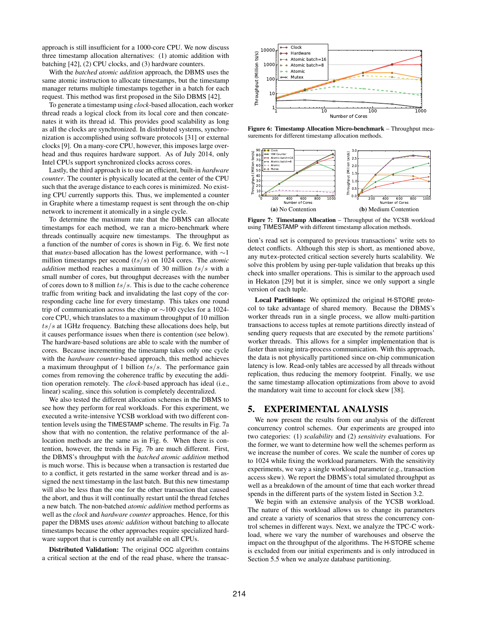approach is still insufficient for a 1000-core CPU. We now discuss three timestamp allocation alternatives: (1) atomic addition with batching [\[42\]](#page-11-16), (2) CPU clocks, and (3) hardware counters.

With the *batched atomic addition* approach, the DBMS uses the same atomic instruction to allocate timestamps, but the timestamp manager returns multiple timestamps together in a batch for each request. This method was first proposed in the Silo DBMS [\[42\]](#page-11-16).

To generate a timestamp using *clock*-based allocation, each worker thread reads a logical clock from its local core and then concatenates it with its thread id. This provides good scalability as long as all the clocks are synchronized. In distributed systems, synchronization is accomplished using software protocols [\[31\]](#page-11-30) or external clocks [\[9\]](#page-11-31). On a many-core CPU, however, this imposes large overhead and thus requires hardware support. As of July 2014, only Intel CPUs support synchronized clocks across cores.

Lastly, the third approach is to use an efficient, built-in *hardware counter*. The counter is physically located at the center of the CPU such that the average distance to each cores is minimized. No existing CPU currently supports this. Thus, we implemented a counter in Graphite where a timestamp request is sent through the on-chip network to increment it atomically in a single cycle.

To determine the maximum rate that the DBMS can allocate timestamps for each method, we ran a micro-benchmark where threads continually acquire new timestamps. The throughput as a function of the number of cores is shown in Fig. [6.](#page-5-1) We first note that *mutex*-based allocation has the lowest performance, with ∼1 million timestamps per second (ts/s) on 1024 cores. The *atomic addition* method reaches a maximum of 30 million  $ts/s$  with a small number of cores, but throughput decreases with the number of cores down to 8 million  $ts/s$ . This is due to the cache coherence traffic from writing back and invalidating the last copy of the corresponding cache line for every timestamp. This takes one round trip of communication across the chip or ∼100 cycles for a 1024 core CPU, which translates to a maximum throughput of 10 million  $ts/s$  at 1GHz frequency. Batching these allocations does help, but it causes performance issues when there is contention (see below). The hardware-based solutions are able to scale with the number of cores. Because incrementing the timestamp takes only one cycle with the *hardware counter*-based approach, this method achieves a maximum throughput of 1 billion  $ts/s$ . The performance gain comes from removing the coherence traffic by executing the addition operation remotely. The *clock*-based approach has ideal (i.e., linear) scaling, since this solution is completely decentralized.

We also tested the different allocation schemes in the DBMS to see how they perform for real workloads. For this experiment, we executed a write-intensive YCSB workload with two different contention levels using the TIMESTAMP scheme. The results in Fig. [7a](#page-5-2) show that with no contention, the relative performance of the allocation methods are the same as in Fig. [6.](#page-5-1) When there is contention, however, the trends in Fig. [7b](#page-5-3) are much different. First, the DBMS's throughput with the *batched atomic addition* method is much worse. This is because when a transaction is restarted due to a conflict, it gets restarted in the same worker thread and is assigned the next timestamp in the last batch. But this new timestamp will also be less than the one for the other transaction that caused the abort, and thus it will continually restart until the thread fetches a new batch. The non-batched *atomic addition* method performs as well as the *clock* and *hardware counter* approaches. Hence, for this paper the DBMS uses *atomic addition* without batching to allocate timestamps because the other approaches require specialized hardware support that is currently not available on all CPUs.

Distributed Validation: The original OCC algorithm contains a critical section at the end of the read phase, where the transac-

<span id="page-5-1"></span>

Figure 6: Timestamp Allocation Micro-benchmark – Throughput measurements for different timestamp allocation methods.

<span id="page-5-2"></span>

<span id="page-5-3"></span>Figure 7: Timestamp Allocation – Throughput of the YCSB workload using TIMESTAMP with different timestamp allocation methods.

tion's read set is compared to previous transactions' write sets to detect conflicts. Although this step is short, as mentioned above, any mutex-protected critical section severely hurts scalability. We solve this problem by using per-tuple validation that breaks up this check into smaller operations. This is similar to the approach used in Hekaton [\[29\]](#page-11-18) but it is simpler, since we only support a single version of each tuple.

Local Partitions: We optimized the original H-STORE protocol to take advantage of shared memory. Because the DBMS's worker threads run in a single process, we allow multi-partition transactions to access tuples at remote partitions directly instead of sending query requests that are executed by the remote partitions' worker threads. This allows for a simpler implementation that is faster than using intra-process communication. With this approach, the data is not physically partitioned since on-chip communication latency is low. Read-only tables are accessed by all threads without replication, thus reducing the memory footprint. Finally, we use the same timestamp allocation optimizations from above to avoid the mandatory wait time to account for clock skew [\[38\]](#page-11-6).

# <span id="page-5-0"></span>5. EXPERIMENTAL ANALYSIS

We now present the results from our analysis of the different concurrency control schemes. Our experiments are grouped into two categories: (1) *scalability* and (2) *sensitivity* evaluations. For the former, we want to determine how well the schemes perform as we increase the number of cores. We scale the number of cores up to 1024 while fixing the workload parameters. With the sensitivity experiments, we vary a single workload parameter (e.g., transaction access skew). We report the DBMS's total simulated throughput as well as a breakdown of the amount of time that each worker thread spends in the different parts of the system listed in Section [3.2.](#page-2-3)

We begin with an extensive analysis of the YCSB workload. The nature of this workload allows us to change its parameters and create a variety of scenarios that stress the concurrency control schemes in different ways. Next, we analyze the TPC-C workload, where we vary the number of warehouses and observe the impact on the throughput of the algorithms. The H-STORE scheme is excluded from our initial experiments and is only introduced in Section [5.5](#page-7-0) when we analyze database partitioning.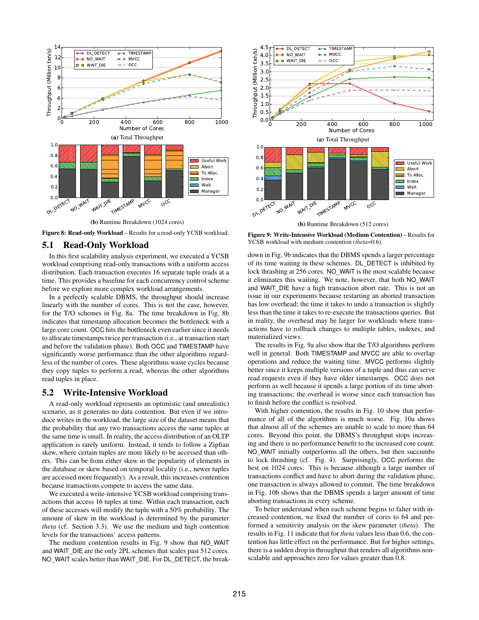<span id="page-6-0"></span>

<span id="page-6-1"></span>Figure 8: Read-only Workload – Results for a read-only YCSB workload.

# 5.1 Read-Only Workload

In this first scalability analysis experiment, we executed a YCSB workload comprising read-only transactions with a uniform access distribution. Each transaction executes 16 separate tuple reads at a time. This provides a baseline for each concurrency control scheme before we explore more complex workload arrangements.

In a perfectly scalable DBMS, the throughput should increase linearly with the number of cores. This is not the case, however, for the T/O schemes in Fig. [8a.](#page-6-0) The time breakdown in Fig. [8b](#page-6-1) indicates that timestamp allocation becomes the bottleneck with a large core count. OCC hits the bottleneck even earlier since it needs to allocate timestamps twice per transaction (i.e., at transaction start and before the validation phase). Both OCC and TIMESTAMP have significantly worse performance than the other algorithms regardless of the number of cores. These algorithms waste cycles because they copy tuples to perform a read, whereas the other algorithms read tuples in place.

#### <span id="page-6-5"></span>5.2 Write-Intensive Workload

A read-only workload represents an optimistic (and unrealistic) scenario, as it generates no data contention. But even if we introduce writes in the workload, the large size of the dataset means that the probability that any two transactions access the same tuples at the same time is small. In reality, the access distribution of an OLTP application is rarely uniform. Instead, it tends to follow a Zipfian skew, where certain tuples are more likely to be accessed than others. This can be from either skew in the popularity of elements in the database or skew based on temporal locality (i.e., newer tuples are accessed more frequently). As a result, this increases contention because transactions compete to access the same data.

We executed a write-intensive YCSB workload comprising transactions that access 16 tuples at time. Within each transaction, each of these accesses will modify the tuple with a 50% probability. The amount of skew in the workload is determined by the parameter *theta* (cf. Section [3.3\)](#page-3-3). We use the medium and high contention levels for the transactions' access patterns.

The medium contention results in Fig. [9](#page-6-2) show that NO\_WAIT and WAIT\_DIE are the only 2PL schemes that scales past 512 cores. NO\_WAIT scales better than WAIT\_DIE. For DL\_DETECT, the break-

<span id="page-6-4"></span><span id="page-6-2"></span>

<span id="page-6-3"></span>Figure 9: Write-Intensive Workload (Medium Contention) – Results for YCSB workload with medium contention (*theta*=0.6).

down in Fig. [9b](#page-6-3) indicates that the DBMS spends a larger percentage of its time waiting in these schemes. DL\_DETECT is inhibited by lock thrashing at 256 cores. NO\_WAIT is the most scalable because it eliminates this waiting. We note, however, that both NO\_WAIT and WAIT\_DIE have a high transaction abort rate. This is not an issue in our experiments because restarting an aborted transaction has low overhead; the time it takes to undo a transaction is slightly less than the time it takes to re-execute the transactions queries. But in reality, the overhead may be larger for workloads where transactions have to rollback changes to multiple tables, indexes, and materialized views.

The results in Fig. [9a](#page-6-4) also show that the T/O algorithms perform well in general. Both TIMESTAMP and MVCC are able to overlap operations and reduce the waiting time. MVCC performs slightly better since it keeps multiple versions of a tuple and thus can serve read requests even if they have older timestamps. OCC does not perform as well because it spends a large portion of its time aborting transactions; the overhead is worse since each transaction has to finish before the conflict is resolved.

With higher contention, the results in Fig. [10](#page-7-1) show that performance of all of the algorithms is much worse. Fig. [10a](#page-7-2) shows that almost all of the schemes are unable to scale to more than 64 cores. Beyond this point, the DBMS's throughput stops increasing and there is no performance benefit to the increased core count. NO\_WAIT initially outperforms all the others, but then succumbs to lock thrashing (cf. Fig. [4\)](#page-4-1). Surprisingly, OCC performs the best on 1024 cores. This is because although a large number of transactions conflict and have to abort during the validation phase, one transaction is always allowed to commit. The time breakdown in Fig. [10b](#page-7-3) shows that the DBMS spends a larger amount of time aborting transactions in every scheme.

To better understand when each scheme begins to falter with increased contention, we fixed the number of cores to 64 and performed a sensitivity analysis on the skew parameter (*theta*). The results in Fig. [11](#page-7-4) indicate that for *theta* values less than 0.6, the contention has little effect on the performance. But for higher settings, there is a sudden drop in throughput that renders all algorithms nonscalable and approaches zero for values greater than 0.8.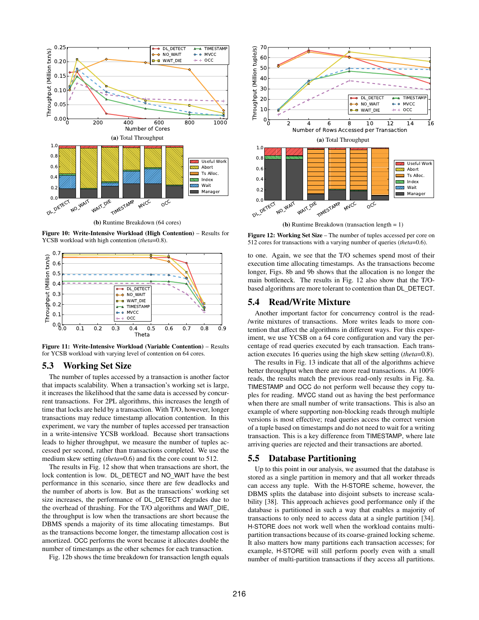<span id="page-7-3"></span><span id="page-7-2"></span><span id="page-7-1"></span>

(b) Runtime Breakdown (64 cores)

Figure 10: Write-Intensive Workload (High Contention) – Results for YCSB workload with high contention (*theta*=0.8).

<span id="page-7-4"></span>

Figure 11: Write-Intensive Workload (Variable Contention) – Results for YCSB workload with varying level of contention on 64 cores.

## 5.3 Working Set Size

The number of tuples accessed by a transaction is another factor that impacts scalability. When a transaction's working set is large, it increases the likelihood that the same data is accessed by concurrent transactions. For 2PL algorithms, this increases the length of time that locks are held by a transaction. With T/O, however, longer transactions may reduce timestamp allocation contention. In this experiment, we vary the number of tuples accessed per transaction in a write-intensive YCSB workload. Because short transactions leads to higher throughput, we measure the number of tuples accessed per second, rather than transactions completed. We use the medium skew setting *(theta*=0.6) and fix the core count to 512.

The results in Fig. [12](#page-7-5) show that when transactions are short, the lock contention is low. DL\_DETECT and NO\_WAIT have the best performance in this scenario, since there are few deadlocks and the number of aborts is low. But as the transactions' working set size increases, the performance of DL\_DETECT degrades due to the overhead of thrashing. For the T/O algorithms and WAIT\_DIE, the throughput is low when the transactions are short because the DBMS spends a majority of its time allocating timestamps. But as the transactions become longer, the timestamp allocation cost is amortized. OCC performs the worst because it allocates double the number of timestamps as the other schemes for each transaction.

Fig. [12b](#page-7-6) shows the time breakdown for transaction length equals

<span id="page-7-7"></span><span id="page-7-5"></span>

<span id="page-7-6"></span>(b) Runtime Breakdown (transaction length = 1)

Figure 12: Working Set Size – The number of tuples accessed per core on 512 cores for transactions with a varying number of queries (*theta*=0.6).

to one. Again, we see that the T/O schemes spend most of their execution time allocating timestamps. As the transactions become longer, Figs. [8b](#page-6-1) and [9b](#page-6-3) shows that the allocation is no longer the main bottleneck. The results in Fig. [12](#page-7-5) also show that the T/Obased algorithms are more tolerant to contention than DL\_DETECT.

# 5.4 Read/Write Mixture

Another important factor for concurrency control is the read- /write mixtures of transactions. More writes leads to more contention that affect the algorithms in different ways. For this experiment, we use YCSB on a 64 core configuration and vary the percentage of read queries executed by each transaction. Each transaction executes 16 queries using the high skew setting (*theta*=0.8).

The results in Fig. [13](#page-8-0) indicate that all of the algorithms achieve better throughput when there are more read transactions. At 100% reads, the results match the previous read-only results in Fig. [8a.](#page-6-0) TIMESTAMP and OCC do not perform well because they copy tuples for reading. MVCC stand out as having the best performance when there are small number of write transactions. This is also an example of where supporting non-blocking reads through multiple versions is most effective; read queries access the correct version of a tuple based on timestamps and do not need to wait for a writing transaction. This is a key difference from TIMESTAMP, where late arriving queries are rejected and their transactions are aborted.

## <span id="page-7-0"></span>5.5 Database Partitioning

Up to this point in our analysis, we assumed that the database is stored as a single partition in memory and that all worker threads can access any tuple. With the H-STORE scheme, however, the DBMS splits the database into disjoint subsets to increase scalability [\[38\]](#page-11-6). This approach achieves good performance only if the database is partitioned in such a way that enables a majority of transactions to only need to access data at a single partition [\[34\]](#page-11-19). H-STORE does not work well when the workload contains multipartition transactions because of its coarse-grained locking scheme. It also matters how many partitions each transaction accesses; for example, H-STORE will still perform poorly even with a small number of multi-partition transactions if they access all partitions.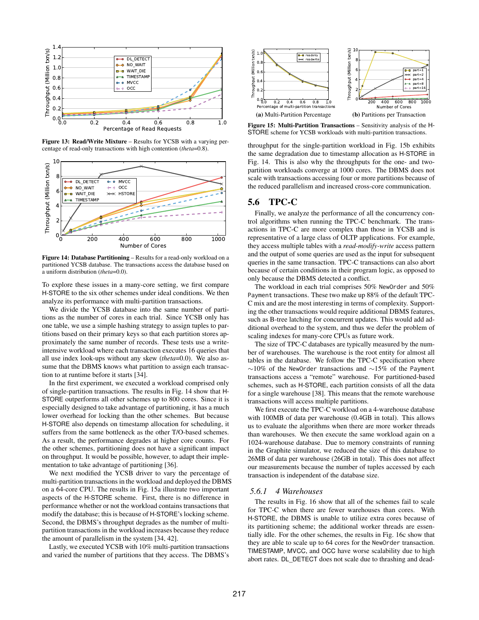<span id="page-8-0"></span>

Figure 13: Read/Write Mixture – Results for YCSB with a varying percentage of read-only transactions with high contention (*theta*=0.8).

<span id="page-8-1"></span>

Figure 14: Database Partitioning – Results for a read-only workload on a partitioned YCSB database. The transactions access the database based on a uniform distribution (*theta*=0.0).

To explore these issues in a many-core setting, we first compare H-STORE to the six other schemes under ideal conditions. We then analyze its performance with multi-partition transactions.

We divide the YCSB database into the same number of partitions as the number of cores in each trial. Since YCSB only has one table, we use a simple hashing strategy to assign tuples to partitions based on their primary keys so that each partition stores approximately the same number of records. These tests use a writeintensive workload where each transaction executes 16 queries that all use index look-ups without any skew (*theta*=0.0). We also assume that the DBMS knows what partition to assign each transaction to at runtime before it starts [\[34\]](#page-11-19).

In the first experiment, we executed a workload comprised only of single-partition transactions. The results in Fig. [14](#page-8-1) show that H-STORE outperforms all other schemes up to 800 cores. Since it is especially designed to take advantage of partitioning, it has a much lower overhead for locking than the other schemes. But because H-STORE also depends on timestamp allocation for scheduling, it suffers from the same bottleneck as the other T/O-based schemes. As a result, the performance degrades at higher core counts. For the other schemes, partitioning does not have a significant impact on throughput. It would be possible, however, to adapt their implementation to take advantage of partitioning [\[36\]](#page-11-29).

We next modified the YCSB driver to vary the percentage of multi-partition transactions in the workload and deployed the DBMS on a 64-core CPU. The results in Fig. [15a](#page-8-2) illustrate two important aspects of the H-STORE scheme. First, there is no difference in performance whether or not the workload contains transactions that modify the database; this is because of H-STORE's locking scheme. Second, the DBMS's throughput degrades as the number of multipartition transactions in the workload increases because they reduce the amount of parallelism in the system [\[34,](#page-11-19) [42\]](#page-11-16).

Lastly, we executed YCSB with 10% multi-partition transactions and varied the number of partitions that they access. The DBMS's

<span id="page-8-2"></span>

<span id="page-8-3"></span>Figure 15: Multi-Partition Transactions – Sensitivity analysis of the H-STORE scheme for YCSB workloads with multi-partition transactions.

throughput for the single-partition workload in Fig. [15b](#page-8-3) exhibits the same degradation due to timestamp allocation as H-STORE in Fig. [14.](#page-8-1) This is also why the throughputs for the one- and twopartition workloads converge at 1000 cores. The DBMS does not scale with transactions accessing four or more partitions because of the reduced parallelism and increased cross-core communication.

# 5.6 TPC-C

Finally, we analyze the performance of all the concurrency control algorithms when running the TPC-C benchmark. The transactions in TPC-C are more complex than those in YCSB and is representative of a large class of OLTP applications. For example, they access multiple tables with a *read-modify-write* access pattern and the output of some queries are used as the input for subsequent queries in the same transaction. TPC-C transactions can also abort because of certain conditions in their program logic, as opposed to only because the DBMS detected a conflict.

The workload in each trial comprises 50% NewOrder and 50% Payment transactions. These two make up 88% of the default TPC-C mix and are the most interesting in terms of complexity. Supporting the other transactions would require additional DBMS features, such as B-tree latching for concurrent updates. This would add additional overhead to the system, and thus we defer the problem of scaling indexes for many-core CPUs as future work.

The size of TPC-C databases are typically measured by the number of warehouses. The warehouse is the root entity for almost all tables in the database. We follow the TPC-C specification where ∼10% of the NewOrder transactions and ∼15% of the Payment transactions access a "remote" warehouse. For partitioned-based schemes, such as H-STORE, each partition consists of all the data for a single warehouse [\[38\]](#page-11-6). This means that the remote warehouse transactions will access multiple partitions.

We first execute the TPC-C workload on a 4-warehouse database with 100MB of data per warehouse (0.4GB in total). This allows us to evaluate the algorithms when there are more worker threads than warehouses. We then execute the same workload again on a 1024-warehouse database. Due to memory constraints of running in the Graphite simulator, we reduced the size of this database to 26MB of data per warehouse (26GB in total). This does not affect our measurements because the number of tuples accessed by each transaction is independent of the database size.

#### <span id="page-8-4"></span>*5.6.1 4 Warehouses*

The results in Fig. [16](#page-9-1) show that all of the schemes fail to scale for TPC-C when there are fewer warehouses than cores. With H-STORE, the DBMS is unable to utilize extra cores because of its partitioning scheme; the additional worker threads are essentially idle. For the other schemes, the results in Fig. [16c](#page-9-2) show that they are able to scale up to 64 cores for the NewOrder transaction. TIMESTAMP, MVCC, and OCC have worse scalability due to high abort rates. DL\_DETECT does not scale due to thrashing and dead-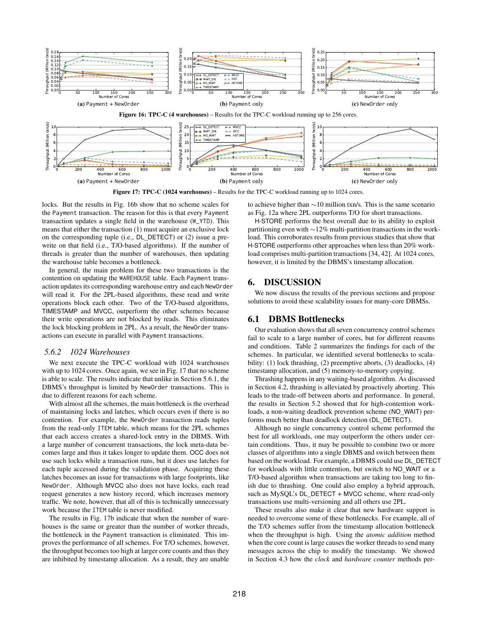<span id="page-9-4"></span><span id="page-9-1"></span>

<span id="page-9-5"></span><span id="page-9-3"></span>Figure 17: TPC-C (1024 warehouses) – Results for the TPC-C workload running up to 1024 cores.

locks. But the results in Fig. [16b](#page-9-3) show that no scheme scales for the Payment transaction. The reason for this is that every Payment transaction updates a single field in the warehouse (W\_YTD). This means that either the transaction (1) must acquire an exclusive lock on the corresponding tuple (i.e., DL\_DETECT) or (2) issue a prewrite on that field (i.e., T/O-based algorithms). If the number of threads is greater than the number of warehouses, then updating the warehouse table becomes a bottleneck.

In general, the main problem for these two transactions is the contention on updating the WAREHOUSE table. Each Payment transaction updates its corresponding warehouse entry and each NewOrder will read it. For the 2PL-based algorithms, these read and write operations block each other. Two of the T/O-based algorithms, TIMESTAMP and MVCC, outperform the other schemes because their write operations are not blocked by reads. This eliminates the lock blocking problem in 2PL. As a result, the NewOrder transactions can execute in parallel with Payment transactions.

#### *5.6.2 1024 Warehouses*

We next execute the TPC-C workload with 1024 warehouses with up to 1024 cores. Once again, we see in Fig. [17](#page-9-4) that no scheme is able to scale. The results indicate that unlike in Section [5.6.1,](#page-8-4) the DBMS's throughput is limited by NewOrder transactions. This is due to different reasons for each scheme.

With almost all the schemes, the main bottleneck is the overhead of maintaining locks and latches, which occurs even if there is no contention. For example, the NewOrder transaction reads tuples from the read-only ITEM table, which means for the 2PL schemes that each access creates a shared-lock entry in the DBMS. With a large number of concurrent transactions, the lock meta-data becomes large and thus it takes longer to update them. OCC does not use such locks while a transaction runs, but it does use latches for each tuple accessed during the validation phase. Acquiring these latches becomes an issue for transactions with large footprints, like NewOrder. Although MVCC also does not have locks, each read request generates a new history record, which increases memory traffic. We note, however, that all of this is technically unnecessary work because the ITEM table is never modified.

The results in Fig. [17b](#page-9-5) indicate that when the number of warehouses is the same or greater than the number of worker threads, the bottleneck in the Payment transaction is eliminated. This improves the performance of all schemes. For T/O schemes, however, the throughput becomes too high at larger core counts and thus they are inhibited by timestamp allocation. As a result, they are unable

<span id="page-9-2"></span>to achieve higher than ∼10 million txn/s. This is the same scenario as Fig. [12a](#page-7-7) where 2PL outperforms T/O for short transactions.

H-STORE performs the best overall due to its ability to exploit partitioning even with ∼12% multi-partition transactions in the workload. This corroborates results from previous studies that show that H-STORE outperforms other approaches when less than 20% workload comprises multi-partition transactions [\[34,](#page-11-19) [42\]](#page-11-16). At 1024 cores, however, it is limited by the DBMS's timestamp allocation.

# <span id="page-9-0"></span>6. DISCUSSION

We now discuss the results of the previous sections and propose solutions to avoid these scalability issues for many-core DBMSs.

# 6.1 DBMS Bottlenecks

Our evaluation shows that all seven concurrency control schemes fail to scale to a large number of cores, but for different reasons and conditions. Table [2](#page-10-1) summarizes the findings for each of the schemes. In particular, we identified several bottlenecks to scalability: (1) lock thrashing, (2) preemptive aborts, (3) deadlocks, (4) timestamp allocation, and (5) memory-to-memory copying.

Thrashing happens in any waiting-based algorithm. As discussed in Section [4.2,](#page-4-3) thrashing is alleviated by proactively aborting. This leads to the trade-off between aborts and performance. In general, the results in Section [5.2](#page-6-5) showed that for high-contention workloads, a non-waiting deadlock prevention scheme (NO\_WAIT) performs much better than deadlock detection (DL\_DETECT).

Although no single concurrency control scheme performed the best for all workloads, one may outperform the others under certain conditions. Thus, it may be possible to combine two or more classes of algorithms into a single DBMS and switch between them based on the workload. For example, a DBMS could use DL\_DETECT for workloads with little contention, but switch to NO\_WAIT or a T/O-based algorithm when transactions are taking too long to finish due to thrashing. One could also employ a hybrid approach, such as MySQL's DL\_DETECT + MVCC scheme, where read-only transactions use multi-versioning and all others use 2PL.

These results also make it clear that new hardware support is needed to overcome some of these bottlenecks. For example, all of the T/O schemes suffer from the timestamp allocation bottleneck when the throughput is high. Using the *atomic addition* method when the core count is large causes the worker threads to send many messages across the chip to modify the timestamp. We showed in Section [4.3](#page-4-0) how the *clock* and *hardware counter* methods per-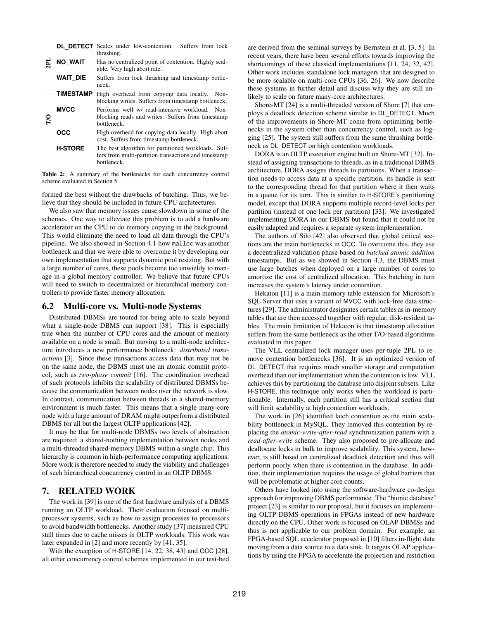<span id="page-10-1"></span>

|                |                  | <b>DL DETECT</b> Scales under low-contention.<br>Suffers from lock<br>thrashing.                                          |
|----------------|------------------|---------------------------------------------------------------------------------------------------------------------------|
|                | <b>NO WAIT</b>   | Has no centralized point of contention. Highly scal-<br>able. Very high abort rate.                                       |
|                | <b>WAIT DIE</b>  | Suffers from lock thrashing and timestamp bottle-<br>neck.                                                                |
|                | <b>TIMESTAMP</b> | High overhead from copying data locally.<br>Non-<br>blocking writes. Suffers from timestamp bottleneck.                   |
| $\mathbb{S}^1$ | <b>MVCC</b>      | Performs well w/ read-intensive workload. Non-<br>blocking reads and writes. Suffers from timestamp<br>bottleneck.        |
|                | occ              | High overhead for copying data locally. High abort<br>cost. Suffers from timestamp bottleneck.                            |
|                | <b>H-STORE</b>   | The best algorithm for partitioned workloads. Suf-<br>fers from multi-partition transactions and timestamp<br>bottleneck. |

Table 2: A summary of the bottlenecks for each concurrency control scheme evaluated in Section [5.](#page-5-0)

formed the best without the drawbacks of batching. Thus, we believe that they should be included in future CPU architectures.

We also saw that memory issues cause slowdown in some of the schemes. One way to alleviate this problem is to add a hardware accelerator on the CPU to do memory copying in the background. This would eliminate the need to load all data through the CPU's pipeline. We also showed in Section [4.1](#page-3-4) how malloc was another bottleneck and that we were able to overcome it by developing our own implementation that supports dynamic pool resizing. But with a large number of cores, these pools become too unwieldy to manage in a global memory controller. We believe that future CPUs will need to switch to decentralized or hierarchical memory controllers to provide faster memory allocation.

#### 6.2 Multi-core vs. Multi-node Systems

Distributed DBMSs are touted for being able to scale beyond what a single-node DBMS can support [\[38\]](#page-11-6). This is especially true when the number of CPU cores and the amount of memory available on a node is small. But moving to a multi-node architecture introduces a new performance bottleneck: *distributed transactions* [\[3\]](#page-11-8). Since these transactions access data that may not be on the same node, the DBMS must use an atomic commit protocol, such as *two-phase commit* [\[16\]](#page-11-32). The coordination overhead of such protocols inhibits the scalability of distributed DBMSs because the communication between nodes over the network is slow. In contrast, communication between threads in a shared-memory environment is much faster. This means that a single many-core node with a large amount of DRAM might outperform a distributed DBMS for all but the largest OLTP applications [\[42\]](#page-11-16).

It may be that for multi-node DBMSs two levels of abstraction are required: a shared-nothing implementation between nodes and a multi-threaded shared-memory DBMS within a single chip. This hierarchy is common in high-performance computing applications. More work is therefore needed to study the viability and challenges of such hierarchical concurrency control in an OLTP DBMS.

## <span id="page-10-0"></span>7. RELATED WORK

The work in [\[39\]](#page-11-33) is one of the first hardware analysis of a DBMS running an OLTP workload. Their evaluation focused on multiprocessor systems, such as how to assign processes to processors to avoid bandwidth bottlenecks. Another study [\[37\]](#page-11-34) measured CPU stall times due to cache misses in OLTP workloads. This work was later expanded in [\[2\]](#page-11-35) and more recently by [\[41,](#page-11-36) [35\]](#page-11-37).

With the exception of H-STORE [\[14,](#page-11-11) [22,](#page-11-20) [38,](#page-11-6) [43\]](#page-11-38) and OCC [\[28\]](#page-11-15), all other concurrency control schemes implemented in our test-bed are derived from the seminal surveys by Bernstein et al. [\[3,](#page-11-8) [5\]](#page-11-14). In recent years, there have been several efforts towards improving the shortcomings of these classical implementations [\[11,](#page-11-17) [24,](#page-11-1) [32,](#page-11-3) [42\]](#page-11-16). Other work includes standalone lock managers that are designed to be more scalable on multi-core CPUs [\[36,](#page-11-29) [26\]](#page-11-2). We now describe these systems in further detail and discuss why they are still unlikely to scale on future many-core architectures.

Shore-MT [\[24\]](#page-11-1) is a multi-threaded version of Shore [\[7\]](#page-11-39) that employs a deadlock detection scheme similar to DL\_DETECT. Much of the improvements in Shore-MT come from optimizing bottlenecks in the system other than concurrency control, such as logging [\[25\]](#page-11-40). The system still suffers from the same thrashing bottleneck as DL\_DETECT on high contention workloads.

DORA is an OLTP execution engine built on Shore-MT [\[32\]](#page-11-3). Instead of assigning transactions to threads, as in a traditional DBMS architecture, DORA assigns threads to partitions. When a transaction needs to access data at a specific partition, its handle is sent to the corresponding thread for that partition where it then waits in a queue for its turn. This is similar to H-STORE's partitioning model, except that DORA supports multiple record-level locks per partition (instead of one lock per partition) [\[33\]](#page-11-41). We investigated implementing DORA in our DBMS but found that it could not be easily adapted and requires a separate system implementation.

The authors of Silo [\[42\]](#page-11-16) also observed that global critical sections are the main bottlenecks in OCC. To overcome this, they use a decentralized validation phase based on *batched atomic addition* timestamps. But as we showed in Section [4.3,](#page-4-0) the DBMS must use large batches when deployed on a large number of cores to amortize the cost of centralized allocation. This batching in turn increases the system's latency under contention.

Hekaton [\[11\]](#page-11-17) is a main memory table extension for Microsoft's SQL Server that uses a variant of MVCC with lock-free data structures [\[29\]](#page-11-18). The administrator designates certain tables as in-memory tables that are then accessed together with regular, disk-resident tables. The main limitation of Hekaton is that timestamp allocation suffers from the same bottleneck as the other T/O-based algorithms evaluated in this paper.

The VLL centralized lock manager uses per-tuple 2PL to remove contention bottlenecks [\[36\]](#page-11-29). It is an optimized version of DL DETECT that requires much smaller storage and computation overhead than our implementation when the contention is low. VLL achieves this by partitioning the database into disjoint subsets. Like H-STORE, this technique only works when the workload is partitionable. Internally, each partition still has a critical section that will limit scalability at high contention workloads.

The work in [\[26\]](#page-11-2) identified latch contention as the main scalability bottleneck in MySQL. They removed this contention by replacing the *atomic-write-after-read* synchronization pattern with a *read-after-write* scheme. They also proposed to pre-allocate and deallocate locks in bulk to improve scalability. This system, however, is still based on centralized deadlock detection and thus will perform poorly when there is contention in the database. In addition, their implementation requires the usage of global barriers that will be problematic at higher core counts.

Others have looked into using the software-hardware co-design approach for improving DBMS performance. The "bionic database" project [\[23\]](#page-11-42) is similar to our proposal, but it focuses on implementing OLTP DBMS operations in FPGAs instead of new hardware directly on the CPU. Other work is focused on OLAP DBMSs and thus is not applicable to our problem domain. For example, an FPGA-based SQL accelerator proposed in [\[10\]](#page-11-43) filters in-flight data moving from a data source to a data sink. It targets OLAP applications by using the FPGA to accelerate the projection and restriction